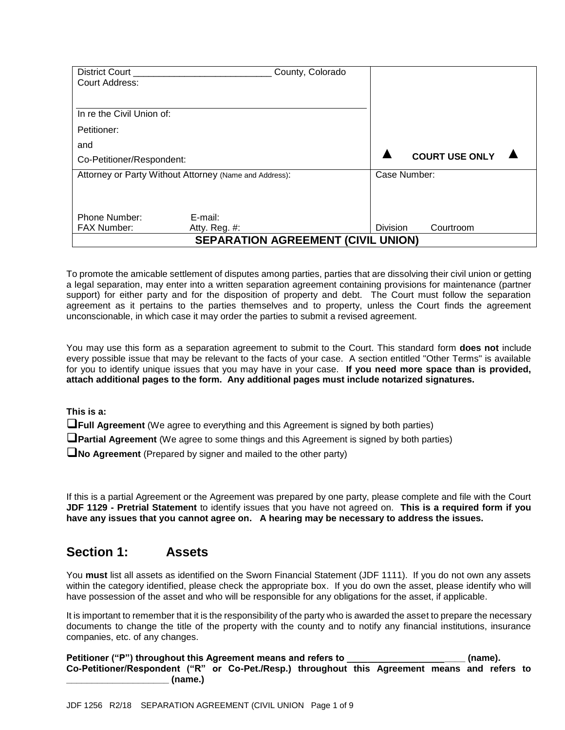| District Court                                         |                  | County, Colorado                          |              |                       |
|--------------------------------------------------------|------------------|-------------------------------------------|--------------|-----------------------|
| Court Address:                                         |                  |                                           |              |                       |
|                                                        |                  |                                           |              |                       |
| In re the Civil Union of:                              |                  |                                           |              |                       |
| Petitioner:                                            |                  |                                           |              |                       |
| and                                                    |                  |                                           |              |                       |
| Co-Petitioner/Respondent:                              |                  |                                           |              | <b>COURT USE ONLY</b> |
| Attorney or Party Without Attorney (Name and Address): |                  |                                           | Case Number: |                       |
|                                                        |                  |                                           |              |                       |
|                                                        |                  |                                           |              |                       |
| Phone Number:                                          | E-mail:          |                                           |              |                       |
| <b>FAX Number:</b>                                     | Atty. Reg. $#$ : |                                           | Division     | Courtroom             |
|                                                        |                  | <b>SEPARATION AGREEMENT (CIVIL UNION)</b> |              |                       |

To promote the amicable settlement of disputes among parties, parties that are dissolving their civil union or getting a legal separation, may enter into a written separation agreement containing provisions for maintenance (partner support) for either party and for the disposition of property and debt. The Court must follow the separation agreement as it pertains to the parties themselves and to property, unless the Court finds the agreement unconscionable, in which case it may order the parties to submit a revised agreement.

You may use this form as a separation agreement to submit to the Court. This standard form **does not** include every possible issue that may be relevant to the facts of your case. A section entitled "Other Terms" is available for you to identify unique issues that you may have in your case. **If you need more space than is provided, attach additional pages to the form. Any additional pages must include notarized signatures.**

**This is a:** 

**The Agreement** (We agree to everything and this Agreement is signed by both parties)

**Partial Agreement** (We agree to some things and this Agreement is signed by both parties)

**No Agreement** (Prepared by signer and mailed to the other party)

If this is a partial Agreement or the Agreement was prepared by one party, please complete and file with the Court **JDF 1129 - Pretrial Statement** to identify issues that you have not agreed on. **This is a required form if you have any issues that you cannot agree on. A hearing may be necessary to address the issues.**

## **Section 1: Assets**

You **must** list all assets as identified on the Sworn Financial Statement (JDF 1111). If you do not own any assets within the category identified, please check the appropriate box. If you do own the asset, please identify who will have possession of the asset and who will be responsible for any obligations for the asset, if applicable.

It is important to remember that it is the responsibility of the party who is awarded the asset to prepare the necessary documents to change the title of the property with the county and to notify any financial institutions, insurance companies, etc. of any changes.

Petitioner ("P") throughout this Agreement means and refers to **with the summan and refers to** with the part of the position of the position of the position of the position of the position of the position of the position o **Co-Petitioner/Respondent ("R" or Co-Pet./Resp.) throughout this Agreement means and refers to \_\_\_\_\_\_\_\_\_\_\_\_\_\_\_\_\_\_\_\_ (name.)**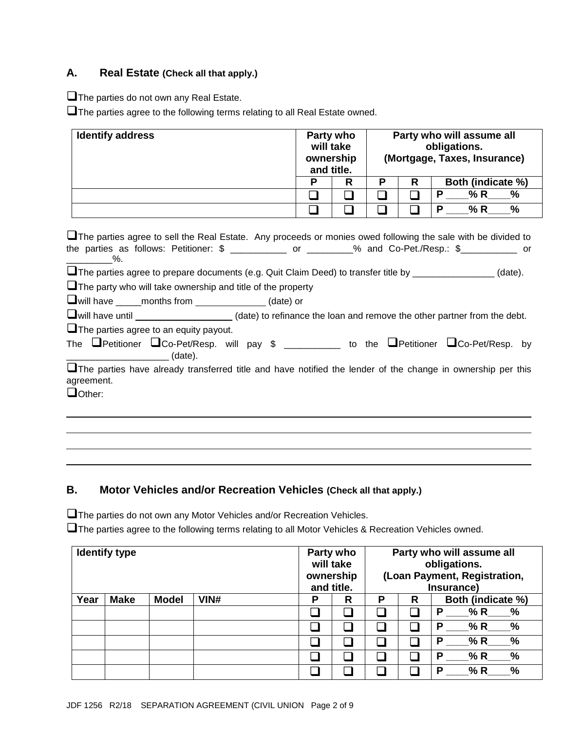### **A. Real Estate (Check all that apply.)**

The parties do not own any Real Estate.

The parties agree to the following terms relating to all Real Estate owned.

| <b>Identify address</b> | Party who<br>will take<br>ownership<br>and title. |   |   |   | Party who will assume all<br>obligations.<br>(Mortgage, Taxes, Insurance)<br>Both (indicate %) |  |
|-------------------------|---------------------------------------------------|---|---|---|------------------------------------------------------------------------------------------------|--|
|                         | P                                                 | R | D | R |                                                                                                |  |
|                         |                                                   |   |   |   | % R<br>%<br>P                                                                                  |  |
|                         |                                                   |   |   |   | %<br>% R<br>P                                                                                  |  |

| U The parties agree to sell the Real Estate. Any proceeds or monies owed following the sale with be divided to                                           |  |  |
|----------------------------------------------------------------------------------------------------------------------------------------------------------|--|--|
| the parties as follows: Petitioner: $\frac{2}{1}$ ______________ or ________% and Co-Pet./Resp.: $\frac{2}{1}$ __________ or                             |  |  |
| $\sim$ %.                                                                                                                                                |  |  |
| U The parties agree to prepare documents (e.g. Quit Claim Deed) to transfer title by ______________(date).                                               |  |  |
| $\Box$ The party who will take ownership and title of the property                                                                                       |  |  |
| U will have ______ months from _______________(date) or                                                                                                  |  |  |
| Uwill have until _____________________(date) to refinance the loan and remove the other partner from the debt.                                           |  |  |
| $\Box$ The parties agree to an equity payout.                                                                                                            |  |  |
| The $\Box$ Petitioner $\Box$ Co-Pet/Resp. will pay \$ _________ to the $\Box$ Petitioner $\Box$ Co-Pet/Resp. by<br><u>______________________</u> (date). |  |  |
| The parties have already transferred title and have notified the lender of the change in ownership per this<br>agreement.                                |  |  |
| $\Box$ Other:                                                                                                                                            |  |  |

## **B. Motor Vehicles and/or Recreation Vehicles (Check all that apply.)**

The parties do not own any Motor Vehicles and/or Recreation Vehicles.

**The parties agree to the following terms relating to all Motor Vehicles & Recreation Vehicles owned.** 

| <b>Identify type</b> |             | Party who<br>will take<br>ownership |      | Party who will assume all<br>obligations.<br>(Loan Payment, Registration, |   |  |     |                           |  |
|----------------------|-------------|-------------------------------------|------|---------------------------------------------------------------------------|---|--|-----|---------------------------|--|
|                      |             |                                     |      | and title.<br>Insurance)                                                  |   |  |     |                           |  |
| Year                 | <b>Make</b> | <b>Model</b>                        | VIN# | P                                                                         | R |  | R   | Both (indicate %)         |  |
|                      |             |                                     |      |                                                                           |   |  |     | % R<br>%<br>P             |  |
|                      |             |                                     |      |                                                                           |   |  |     | $\frac{0}{0}$<br>% R<br>P |  |
|                      |             |                                     |      |                                                                           |   |  |     | % R<br>%<br>P             |  |
|                      |             |                                     |      |                                                                           |   |  | n 1 | $\frac{0}{0}$<br>% R<br>P |  |
|                      |             |                                     |      |                                                                           |   |  |     | %<br>% R<br>Р             |  |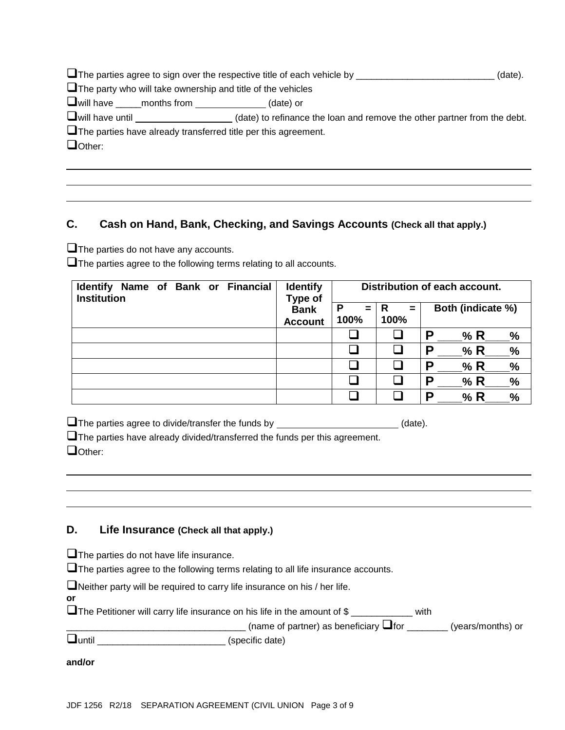|                                                                          | (date).                                                                                                                        |  |  |  |  |  |  |
|--------------------------------------------------------------------------|--------------------------------------------------------------------------------------------------------------------------------|--|--|--|--|--|--|
| $\Box$ The party who will take ownership and title of the vehicles       |                                                                                                                                |  |  |  |  |  |  |
| Uwill have _____months from _____________(date) or                       |                                                                                                                                |  |  |  |  |  |  |
|                                                                          | $\Box$ will have until $\_\_\_\_\_\_\_\_\_\_\_\_\_\_$ (date) to refinance the loan and remove the other partner from the debt. |  |  |  |  |  |  |
| $\square$ The parties have already transferred title per this agreement. |                                                                                                                                |  |  |  |  |  |  |
| Other:                                                                   |                                                                                                                                |  |  |  |  |  |  |
|                                                                          |                                                                                                                                |  |  |  |  |  |  |

## **C. Cash on Hand, Bank, Checking, and Savings Accounts (Check all that apply.)**

**The parties do not have any accounts.** 

The parties agree to the following terms relating to all accounts.

| Name of Bank or Financial<br><b>Identify</b><br><b>Institution</b> | <b>Identify</b><br>Type of | Distribution of each account. |                  |                           |  |
|--------------------------------------------------------------------|----------------------------|-------------------------------|------------------|---------------------------|--|
|                                                                    | <b>Bank</b>                | P<br>$=$<br>100%              | R<br>$=$<br>100% | Both (indicate %)         |  |
|                                                                    | <b>Account</b>             |                               |                  |                           |  |
|                                                                    |                            |                               |                  | P<br>% R<br>%             |  |
|                                                                    |                            | $\overline{\phantom{a}}$      |                  | P<br>% R<br>%             |  |
|                                                                    |                            |                               |                  | P<br>% R<br>%             |  |
|                                                                    |                            | □                             |                  | P<br>% R<br>$\frac{9}{6}$ |  |
|                                                                    |                            |                               |                  | P<br>% R<br>%             |  |

 $\Box$  The parties agree to divide/transfer the funds by  $\Box$  (date).

 $\square$  The parties have already divided/transferred the funds per this agreement.  $\Box$ Other:

### **D. Life Insurance (Check all that apply.)**

**The parties do not have life insurance.** 

 $\square$  The parties agree to the following terms relating to all life insurance accounts.

Neither party will be required to carry life insurance on his / her life.

**The Petitioner will carry life insurance on his life in the amount of \$** \_\_\_\_\_\_\_\_\_\_\_\_\_ with

 $\Box$ 

until \_\_\_\_\_\_\_\_\_\_\_\_\_\_\_\_\_\_\_\_\_\_\_\_\_ (specific date)

**and/or**

**or**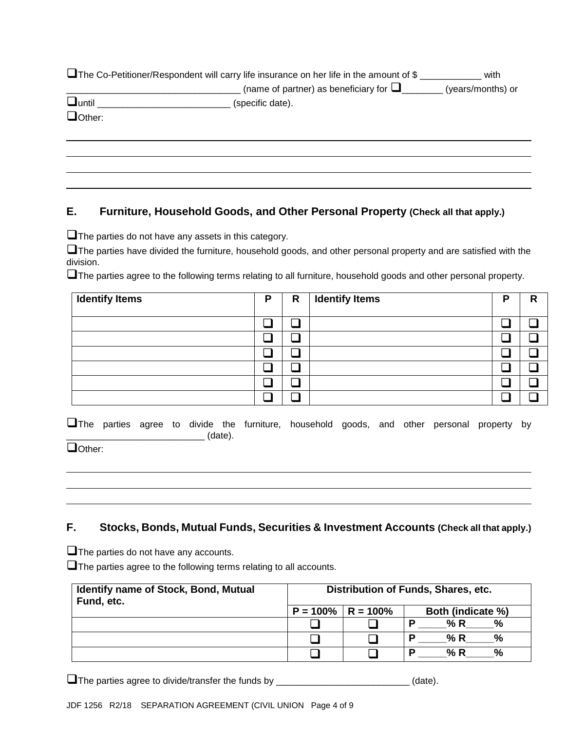|               | $\Box$ The Co-Petitioner/Respondent will carry life insurance on her life in the amount of \$ | with              |
|---------------|-----------------------------------------------------------------------------------------------|-------------------|
|               | (name of partner) as beneficiary for $\Box$                                                   | (years/months) or |
| $\Box$ until  | (specific date).                                                                              |                   |
| $\Box$ Other: |                                                                                               |                   |
|               |                                                                                               |                   |

#### **E. Furniture, Household Goods, and Other Personal Property (Check all that apply.)**

 $\Box$  The parties do not have any assets in this category.

The parties have divided the furniture, household goods, and other personal property and are satisfied with the division.

The parties agree to the following terms relating to all furniture, household goods and other personal property.

| <b>Identify Items</b> | P | R | <b>Identify Items</b> | D | R |
|-----------------------|---|---|-----------------------|---|---|
|                       |   |   |                       |   |   |
|                       |   |   |                       |   |   |
|                       |   |   |                       |   |   |
|                       |   |   |                       |   |   |
|                       |   |   |                       |   |   |
|                       |   |   |                       |   |   |

The parties agree to divide the furniture, household goods, and other personal property by \_\_\_\_\_\_\_\_\_\_\_\_\_\_\_\_\_\_\_\_\_\_\_\_\_\_\_ (date).

Other:

#### **F. Stocks, Bonds, Mutual Funds, Securities & Investment Accounts (Check all that apply.)**

**The parties do not have any accounts.** 

The parties agree to the following terms relating to all accounts.

| <b>Identify name of Stock, Bond, Mutual</b><br>Fund, etc. | Distribution of Funds, Shares, etc. |            |                      |  |
|-----------------------------------------------------------|-------------------------------------|------------|----------------------|--|
|                                                           | $P = 100\%$                         | l R = 100% | Both (indicate %)    |  |
|                                                           |                                     |            | % R<br>%             |  |
|                                                           |                                     |            | % R<br>$\frac{9}{6}$ |  |
|                                                           |                                     |            | % R<br>$\frac{6}{2}$ |  |

The parties agree to divide/transfer the funds by \_\_\_\_\_\_\_\_\_\_\_\_\_\_\_\_\_\_\_\_\_\_\_\_\_\_\_(date).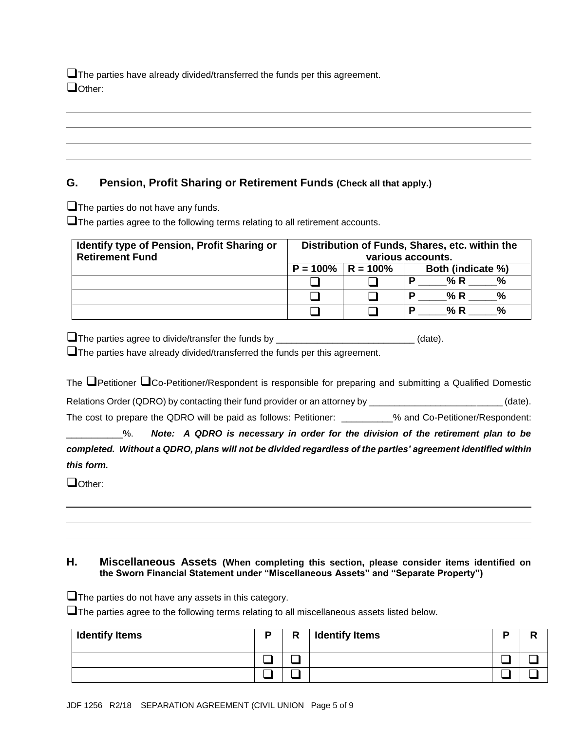**The parties have already divided/transferred the funds per this agreement.**  $\Box$ Other:

#### **G. Pension, Profit Sharing or Retirement Funds (Check all that apply.)**

 $\Box$  The parties do not have any funds.

The parties agree to the following terms relating to all retirement accounts.

| <b>Identify type of Pension, Profit Sharing or</b><br><b>Retirement Fund</b> |                                             |  | Distribution of Funds, Shares, etc. within the<br>various accounts. |  |  |
|------------------------------------------------------------------------------|---------------------------------------------|--|---------------------------------------------------------------------|--|--|
|                                                                              | $P = 100\%$   R = 100%<br>Both (indicate %) |  |                                                                     |  |  |
|                                                                              |                                             |  | % R<br>$\frac{9}{6}$                                                |  |  |
|                                                                              |                                             |  | %<br>% R                                                            |  |  |
|                                                                              |                                             |  | % R<br>%                                                            |  |  |

 $\Box$  The parties agree to divide/transfer the funds by \_\_\_\_\_\_\_\_\_\_\_\_\_\_\_\_\_\_\_\_\_\_\_\_\_\_\_\_\_\_(date).

 $\square$  The parties have already divided/transferred the funds per this agreement.

The  $\Box$ Petitioner  $\Box$ Co-Petitioner/Respondent is responsible for preparing and submitting a Qualified Domestic Relations Order (QDRO) by contacting their fund provider or an attorney by \_\_\_\_\_\_\_\_\_\_\_\_\_\_\_\_\_\_\_\_\_\_\_\_\_\_\_\_(date). The cost to prepare the QDRO will be paid as follows: Petitioner: \_\_\_\_\_\_\_\_\_% and Co-Petitioner/Respondent:

\_\_\_\_\_\_\_\_\_\_\_%. *Note: A QDRO is necessary in order for the division of the retirement plan to be completed. Without a QDRO, plans will not be divided regardless of the parties' agreement identified within this form.*

Dother:

#### **H. Miscellaneous Assets (When completing this section, please consider items identified on the Sworn Financial Statement under "Miscellaneous Assets" and "Separate Property")**

 $\Box$  The parties do not have any assets in this category.

The parties agree to the following terms relating to all miscellaneous assets listed below.

| <b>Identify Items</b> | n | R | <b>Identify Items</b> |  |
|-----------------------|---|---|-----------------------|--|
|                       |   |   |                       |  |
|                       |   |   |                       |  |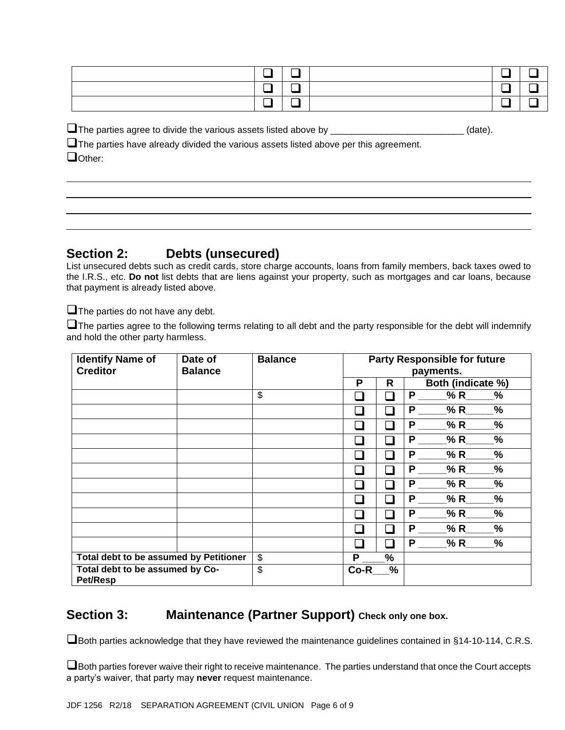The parties agree to divide the various assets listed above by \_\_\_\_\_\_\_\_\_\_\_\_\_\_\_\_\_\_\_\_\_\_\_\_\_\_\_\_(date).

 $\square$  The parties have already divided the various assets listed above per this agreement.  $\Box$ Other:

# **Section 2: Debts (unsecured)**

List unsecured debts such as credit cards, store charge accounts, loans from family members, back taxes owed to the I.R.S., etc. **Do not** list debts that are liens against your property, such as mortgages and car loans, because that payment is already listed above.

 $\Box$  The parties do not have any debt.

 $\square$  The parties agree to the following terms relating to all debt and the party responsible for the debt will indemnify and hold the other party harmless.

| <b>Identify Name of</b>                            | Date of        | <b>Balance</b> | <b>Party Responsible for future</b> |     |                           |
|----------------------------------------------------|----------------|----------------|-------------------------------------|-----|---------------------------|
| <b>Creditor</b>                                    | <b>Balance</b> |                |                                     |     | payments.                 |
|                                                    |                |                | P                                   | R   | Both (indicate %)         |
|                                                    |                | \$             |                                     |     | P<br>% R<br>%             |
|                                                    |                |                |                                     | n l | P<br>% R<br>%             |
|                                                    |                |                |                                     |     | %<br>P<br>% R             |
|                                                    |                |                |                                     |     | %<br>P<br>% R             |
|                                                    |                |                |                                     |     | %<br>P<br>% R             |
|                                                    |                |                |                                     |     | %<br>P<br>% R             |
|                                                    |                |                |                                     |     | %<br>P<br>% R             |
|                                                    |                |                |                                     |     | %<br>P<br>% R             |
|                                                    |                |                |                                     |     | $\%$<br>P<br>% R          |
|                                                    |                |                |                                     | n l | %<br>Ρ<br>$%R_$           |
|                                                    |                |                |                                     |     | P<br>$\frac{9}{6}$<br>% R |
| Total debt to be assumed by Petitioner             |                | \$             | P                                   | %   |                           |
| Total debt to be assumed by Co-<br><b>Pet/Resp</b> |                | \$             | $Co-R$                              | %   |                           |

## **Section 3: Maintenance (Partner Support) Check only one box.**

Both parties acknowledge that they have reviewed the maintenance guidelines contained in §14-10-114, C.R.S.

**I** Both parties forever waive their right to receive maintenance. The parties understand that once the Court accepts a party's waiver, that party may **never** request maintenance.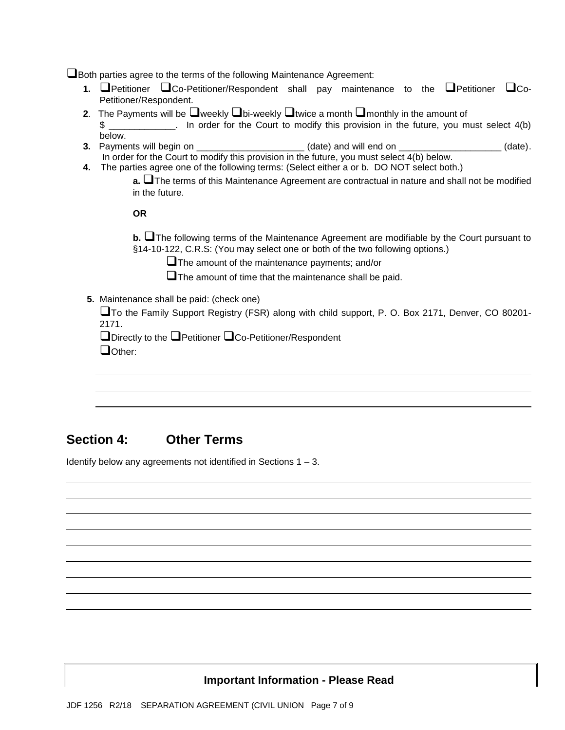**L**Both parties agree to the terms of the following Maintenance Agreement:

- **1. O**Petitioner **O**Co-Petitioner/Respondent shall pay maintenance to the **O**Petitioner **O**Co-Petitioner/Respondent.
- **2.** The Payments will be  $\Box$  weekly  $\Box$  bi-weekly  $\Box$  twice a month  $\Box$  monthly in the amount of \$ \_\_\_\_\_\_\_\_\_\_\_\_. In order for the Court to modify this provision in the future, you must select 4(b) below.
- **3.** Payments will begin on \_\_\_\_\_\_\_\_\_\_\_\_\_\_\_\_\_\_\_\_\_\_\_(date) and will end on \_\_\_\_\_\_\_\_\_\_\_\_\_\_\_\_\_\_\_(date). In order for the Court to modify this provision in the future, you must select 4(b) below.
- **4.** The parties agree one of the following terms: (Select either a or b. DO NOT select both.)
	- **a. The terms of this Maintenance Agreement are contractual in nature and shall not be modified** in the future.

**OR**

**b.** The following terms of the Maintenance Agreement are modifiable by the Court pursuant to §14-10-122, C.R.S: (You may select one or both of the two following options.)

The amount of the maintenance payments; and/or

 $\Box$  The amount of time that the maintenance shall be paid.

**5.** Maintenance shall be paid: (check one)

To the Family Support Registry (FSR) along with child support, P. O. Box 2171, Denver, CO 80201- 2171.

 $\Box$  Directly to the  $\Box$  Petitioner  $\Box$  Co-Petitioner/Respondent

Dother:

## **Section 4: Other Terms**

Identify below any agreements not identified in Sections 1 – 3.

#### **Important Information - Please Read**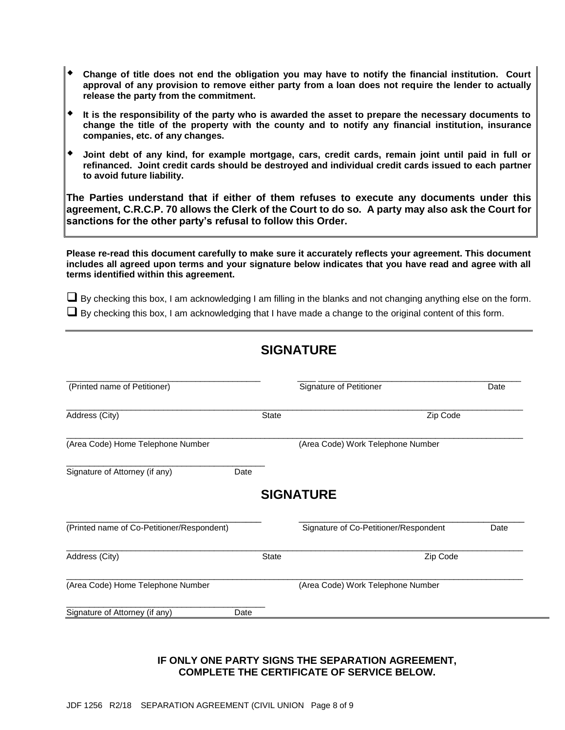- **Change of title does not end the obligation you may have to notify the financial institution. Court approval of any provision to remove either party from a loan does not require the lender to actually release the party from the commitment.**
- **It is the responsibility of the party who is awarded the asset to prepare the necessary documents to change the title of the property with the county and to notify any financial institution, insurance companies, etc. of any changes.**
- **Joint debt of any kind, for example mortgage, cars, credit cards, remain joint until paid in full or refinanced. Joint credit cards should be destroyed and individual credit cards issued to each partner to avoid future liability.**

**The Parties understand that if either of them refuses to execute any documents under this agreement, C.R.C.P. 70 allows the Clerk of the Court to do so. A party may also ask the Court for sanctions for the other party's refusal to follow this Order.** 

**Please re-read this document carefully to make sure it accurately reflects your agreement. This document includes all agreed upon terms and your signature below indicates that you have read and agree with all terms identified within this agreement.** 

 $\Box$  By checking this box, I am acknowledging I am filling in the blanks and not changing anything else on the form.  $\Box$  By checking this box, I am acknowledging that I have made a change to the original content of this form.

# **SIGNATURE**

| (Printed name of Petitioner)               |              | Signature of Petitioner               | Date |  |  |
|--------------------------------------------|--------------|---------------------------------------|------|--|--|
| Address (City)                             | <b>State</b> | Zip Code                              |      |  |  |
| (Area Code) Home Telephone Number          |              | (Area Code) Work Telephone Number     |      |  |  |
| Signature of Attorney (if any)<br>Date     |              |                                       |      |  |  |
|                                            |              | <b>SIGNATURE</b>                      |      |  |  |
| (Printed name of Co-Petitioner/Respondent) |              | Signature of Co-Petitioner/Respondent | Date |  |  |
| Address (City)                             | <b>State</b> | Zip Code                              |      |  |  |
| (Area Code) Home Telephone Number          |              | (Area Code) Work Telephone Number     |      |  |  |
|                                            |              |                                       |      |  |  |

#### **IF ONLY ONE PARTY SIGNS THE SEPARATION AGREEMENT, COMPLETE THE CERTIFICATE OF SERVICE BELOW.**